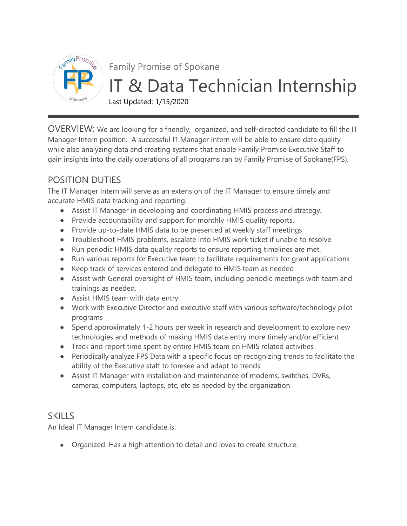

Family Promise of Spokane

## IT & Data Technician Internship

Last Updated: 1/15/2020

OVERVIEW: We are looking for a friendly, organized, and self-directed candidate to fill the IT Manager Intern position. A successful IT Manager Intern will be able to ensure data quality while also analyzing data and creating systems that enable Family Promise Executive Staff to gain insights into the daily operations of all programs ran by Family Promise of Spokane(FPS).

## POSITION DUTIES

The IT Manager Intern will serve as an extension of the IT Manager to ensure timely and accurate HMIS data tracking and reporting.

- Assist IT Manager in developing and coordinating HMIS process and strategy.
- Provide accountability and support for monthly HMIS quality reports.
- Provide up-to-date HMIS data to be presented at weekly staff meetings
- Troubleshoot HMIS problems, escalate into HMIS work ticket if unable to resolve
- Run periodic HMIS data quality reports to ensure reporting timelines are met.
- Run various reports for Executive team to facilitate requirements for grant applications
- Keep track of services entered and delegate to HMIS team as needed
- Assist with General oversight of HMIS team, including periodic meetings with team and trainings as needed.
- Assist HMIS team with data entry
- Work with Executive Director and executive staff with various software/technology pilot programs
- Spend approximately 1-2 hours per week in research and development to explore new technologies and methods of making HMIS data entry more timely and/or efficient
- Track and report time spent by entire HMIS team on HMIS related activities
- Periodically analyze FPS Data with a specific focus on recognizing trends to facilitate the ability of the Executive staff to foresee and adapt to trends
- Assist IT Manager with installation and maintenance of modems, switches, DVRs, cameras, computers, laptops, etc, etc as needed by the organization

## **SKILLS**

An Ideal IT Manager Intern candidate is:

● Organized. Has a high attention to detail and loves to create structure.